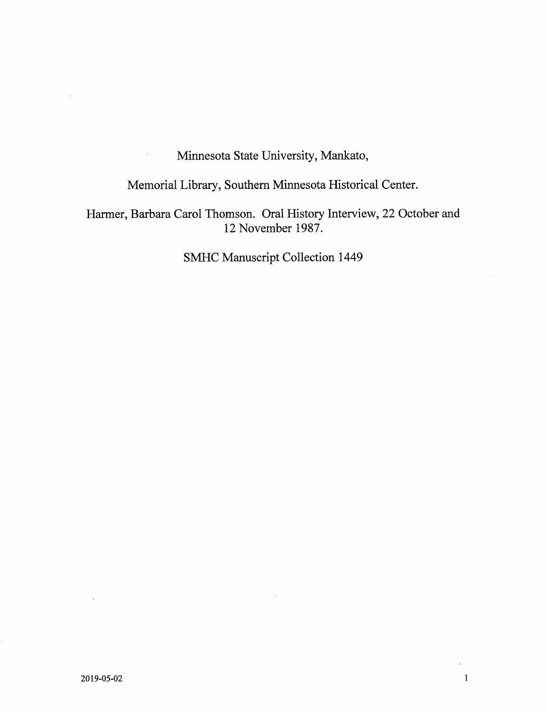Minnesota State University, Mankato,

Memorial Library, Southern Minnesota Historical Center.

Harmer, Barbara Carol Thomson. Oral History Interview, 22 October and 12 November 1987.

SMHC Manuscript Collection 1449

 $\bar{z}$ 

 $\bar{\mathcal{A}}$ 

 $\overline{\phantom{a}}$ 

 $\hat{\boldsymbol{\beta}}$ 

 $\epsilon$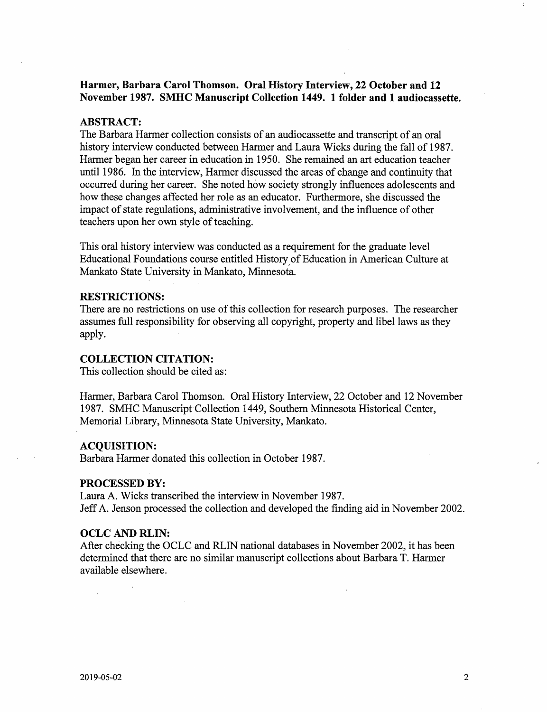## Harmer, Barbara Carol Thomson. Oral History Interview, 22 October and 12 November 1987. SMHC Manuscript Collection 1449. 1 folder and 1 audiocassette.

#### ABSTRACT:

The Barbara Harmer collection consists of an audiocassette and transcript of an oral history interview conducted between Harmer and Laura Wicks during the fall of 1987. Harmer began her career in education in 1950. She remained an art education teacher until 1986. In the interview, Harmer discussed the areas of change and continuity that occurred during her career. She noted how society strongly influences adolescents and how these changes affected her role as an educator. Furthermore, she discussed the impact of state regulations, administrative involvement, and the influence of other teachers upon her own style of teaching.

This oral history interview was conducted as a requirement for the graduate level Educational Foundations course entitled History of Education in American Culture at Mankato State University in Mankato, Minnesota.

### RESTRICTIONS:

There are no restrictions on use of this collection for research purposes. The researcher assumes full responsibility for observing all copyright, property and libel laws as they apply.

## COLLECTION CITATION:

This collection should be cited as:

Harmer, Barbara Carol Thomson. Oral History Interview, 22 October and 12 November 1987. SMHC Manuscript Collection 1449, Southern Minnesota Historical Center, Memorial Library, Minnesota State University, Mankato.

#### ACQUISITION:

Barbara Harmer donated this collection in October 1987.

#### PROCESSED BY:

Laura A. Wicks transcribed the interview in November 1987. Jeff A. Jenson processed the collection and developed the finding aid in November 2002.

#### OCLC AND REIN:

After checking the OCLC and RLIN national databases in November 2002, it has been determined that there are no similar manuscript collections about Barbara T. Harmer available elsewhere.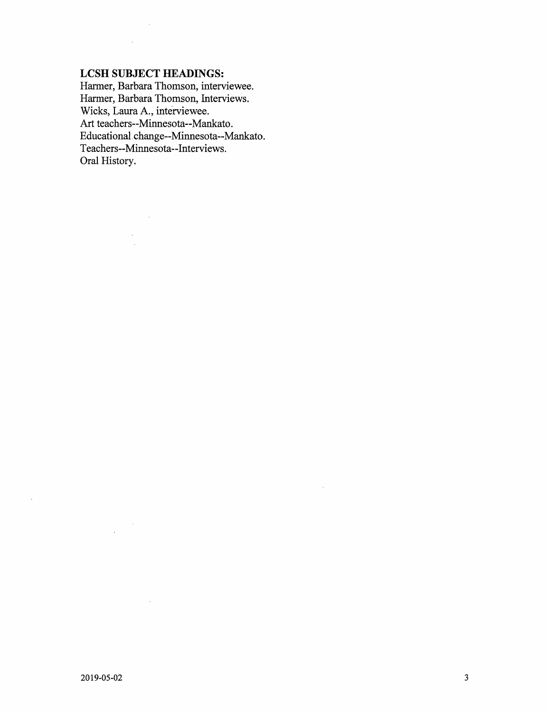# LCSH SUBJECT HEADINGS:

 $\mathcal{L}^{\text{max}}_{\text{max}}$  , where  $\mathcal{L}^{\text{max}}_{\text{max}}$ 

 $\label{eq:2} \frac{1}{2} \sum_{i=1}^n \frac{1}{2} \sum_{j=1}^n \frac{1}{2} \sum_{j=1}^n \frac{1}{2} \sum_{j=1}^n \frac{1}{2} \sum_{j=1}^n \frac{1}{2} \sum_{j=1}^n \frac{1}{2} \sum_{j=1}^n \frac{1}{2} \sum_{j=1}^n \frac{1}{2} \sum_{j=1}^n \frac{1}{2} \sum_{j=1}^n \frac{1}{2} \sum_{j=1}^n \frac{1}{2} \sum_{j=1}^n \frac{1}{2} \sum_{j=1}^n \frac{1}{$  $\mathcal{L}_{\text{eff}}$ 

 $\sim$   $\sim$ 

 $\sim 10$ 

Harmer, Barbara Thomson, interviewee. Harmer, Barbara Thomson, Interviews. Wicks, Laura A., interviewee. Art teachers—Minnesota—Mankato. Educational change—Minnesota—Mankato. Teachers—Minnesota—Interviews. Oral History.

 $\sim$   $\lambda$  $\frac{1}{2}$ 

 $\sim 10^{11}$  km s  $^{-1}$ 

 $\bar{\beta}$ 

 $\sim 10^{-11}$